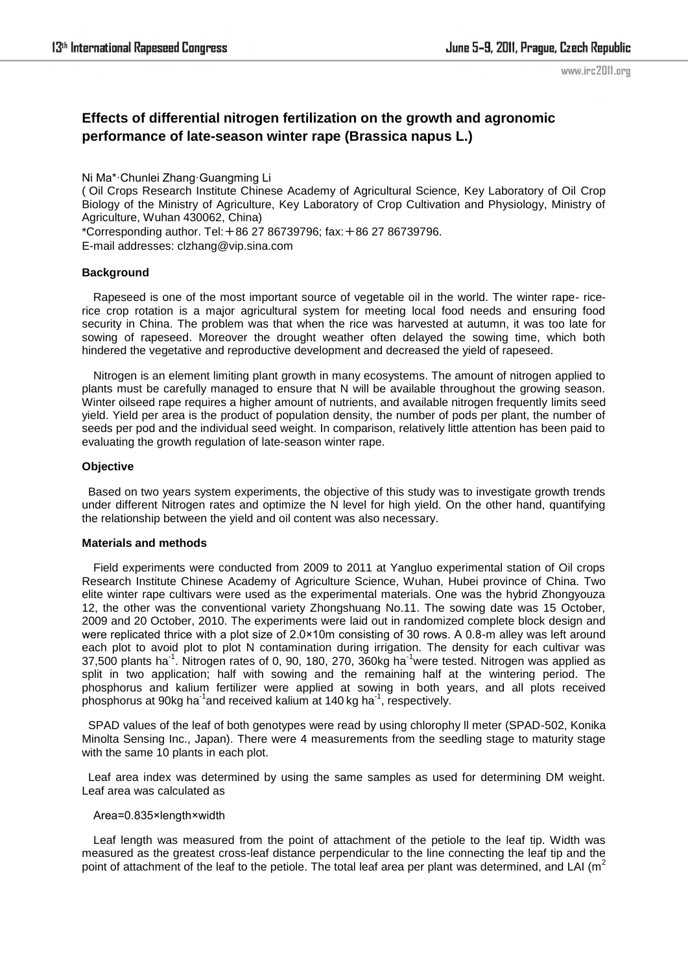www.irc2011.org

# **Effects of differential nitrogen fertilization on the growth and agronomic performance of late-season winter rape (Brassica napus L.)**

Ni Ma\*·Chunlei Zhang·Guangming Li

( Oil Crops Research Institute Chinese Academy of Agricultural Science, Key Laboratory of Oil Crop Biology of the Ministry of Agriculture, Key Laboratory of Crop Cultivation and Physiology, Ministry of Agriculture, Wuhan 430062, China)

\*Corresponding author. Tel:+86 27 86739796; fax:+86 27 86739796.

E-mail addresses: clzhang@vip.sina.com

## **Background**

Rapeseed is one of the most important source of vegetable oil in the world. The winter rape- ricerice crop rotation is a major agricultural system for meeting local food needs and ensuring food security in China. The problem was that when the rice was harvested at autumn, it was too late for sowing of rapeseed. Moreover the drought weather often delayed the sowing time, which both hindered the vegetative and reproductive development and decreased the yield of rapeseed.

Nitrogen is an element limiting plant growth in many ecosystems. The amount of nitrogen applied to plants must be carefully managed to ensure that N will be available throughout the growing season. Winter oilseed rape requires a higher amount of nutrients, and available nitrogen frequently limits seed yield. Yield per area is the product of population density, the number of pods per plant, the number of seeds per pod and the individual seed weight. In comparison, relatively little attention has been paid to evaluating the growth regulation of late-season winter rape.

## **Objective**

 Based on two years system experiments, the objective of this study was to investigate growth trends under different Nitrogen rates and optimize the N level for high yield. On the other hand, quantifying the relationship between the yield and oil content was also necessary.

#### **Materials and methods**

Field experiments were conducted from 2009 to 2011 at Yangluo experimental station of Oil crops Research Institute Chinese Academy of Agriculture Science, Wuhan, Hubei province of China. Two elite winter rape cultivars were used as the experimental materials. One was the hybrid Zhongyouza 12, the other was the conventional variety Zhongshuang No.11. The sowing date was 15 October, 2009 and 20 October, 2010. The experiments were laid out in randomized complete block design and were replicated thrice with a plot size of 2.0×10m consisting of 30 rows. A 0.8-m alley was left around each plot to avoid plot to plot N contamination during irrigation. The density for each cultivar was  $37,500$  plants ha<sup>-1</sup>. Nitrogen rates of 0, 90, 180, 270,  $360$ kg ha<sup>-1</sup>were tested. Nitrogen was applied as split in two application; half with sowing and the remaining half at the wintering period. The phosphorus and kalium fertilizer were applied at sowing in both years, and all plots received phosphorus at 90kg ha<sup>-1</sup>and received kalium at 140 kg ha<sup>-1</sup>, respectively.

 SPAD values of the leaf of both genotypes were read by using chlorophy ll meter (SPAD-502, Konika Minolta Sensing Inc., Japan). There were 4 measurements from the seedling stage to maturity stage with the same 10 plants in each plot.

 Leaf area index was determined by using the same samples as used for determining DM weight. Leaf area was calculated as

## Area=0.835×length×width

Leaf length was measured from the point of attachment of the petiole to the leaf tip. Width was measured as the greatest cross-leaf distance perpendicular to the line connecting the leaf tip and the point of attachment of the leaf to the petiole. The total leaf area per plant was determined, and LAI ( $m<sup>2</sup>$